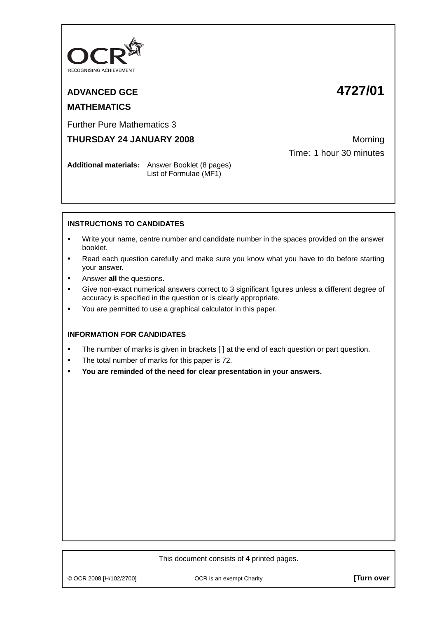

## **ADVANCED GCE 4727/01 MATHEMATICS**

Further Pure Mathematics 3

**THURSDAY 24 JANUARY 2008** Morning

Time: 1 hour 30 minutes

**Additional materials:** Answer Booklet (8 pages) List of Formulae (MF1)

## **INSTRUCTIONS TO CANDIDATES**

- **•** Write your name, centre number and candidate number in the spaces provided on the answer booklet.
- **•** Read each question carefully and make sure you know what you have to do before starting your answer.
- **•** Answer **all** the questions.
- **•** Give non-exact numerical answers correct to 3 significant figures unless a different degree of accuracy is specified in the question or is clearly appropriate.
- **•** You are permitted to use a graphical calculator in this paper.

## **INFORMATION FOR CANDIDATES**

- **•** The number of marks is given in brackets [ ] at the end of each question or part question.
- **•** The total number of marks for this paper is 72.
- **• You are reminded of the need for clear presentation in your answers.**

## This document consists of **4** printed pages.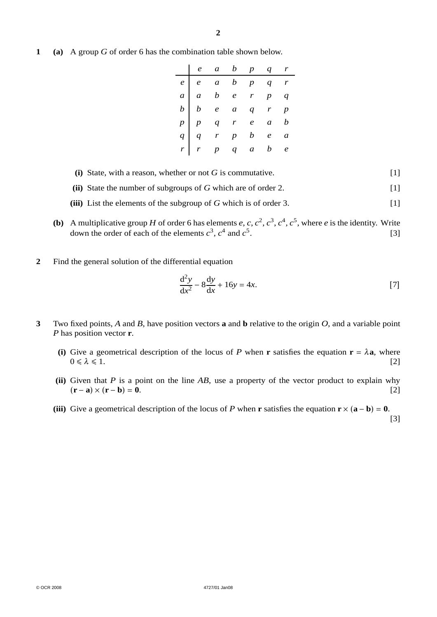**1 (a)** A group *G* of order 6 has the combination table shown below.

| $\begin{array}{c ccccccccc} \hline e & e & a & b & p & q & r \\ \hline a & a & b & e & r & p & q \\ b & e & a & q & r & p \\ p & p & q & r & e & a & b \\ q & r & p & b & e & a \\ r & r & p & q & a & b & e \end{array}$ |  |  |  |
|---------------------------------------------------------------------------------------------------------------------------------------------------------------------------------------------------------------------------|--|--|--|
|                                                                                                                                                                                                                           |  |  |  |
|                                                                                                                                                                                                                           |  |  |  |
|                                                                                                                                                                                                                           |  |  |  |
|                                                                                                                                                                                                                           |  |  |  |
|                                                                                                                                                                                                                           |  |  |  |

- **(i)** State, with a reason, whether or not *G* is commutative. [1]
- **(ii)** State the number of subgroups of *G* which are of order 2. [1]
- **(iii)** List the elements of the subgroup of *G* which is of order 3. [1]
- **(b)** A multiplicative group *H* of order 6 has elements *e*, *c*,  $c^2$ ,  $c^3$ ,  $c^4$ ,  $c^5$ , where *e* is the identity. Write down the order of each of the elements  $c^3$ ,  $c^4$  and  $c^5$ .  $[3]$
- **2** Find the general solution of the differential equation

$$
\frac{\mathrm{d}^2 y}{\mathrm{d}x^2} - 8\frac{\mathrm{d}y}{\mathrm{d}x} + 16y = 4x.\tag{7}
$$

- **3** Two fixed points, *A* and *B*, have position vectors **a** and **b** relative to the origin *O*, and a variable point *P* has position vector **r**.
	- **(i)** Give a geometrical description of the locus of *P* when **r** satisfies the equation **r** =  $\lambda$ **a**, where  $0 \le \lambda \le 1$ . [2]  $0 \le \lambda \le 1$ . [2]
	- **(ii)** Given that *P* is a point on the line *AB*, use a property of the vector product to explain why  $({\bf r} - {\bf a}) \times ({\bf r} - {\bf b}) = {\bf 0}.$  [2]
	- **(iii)** Give a geometrical description of the locus of *P* when **r** satisfies the equation  $\mathbf{r} \times (\mathbf{a} \mathbf{b}) = \mathbf{0}$ .

[3]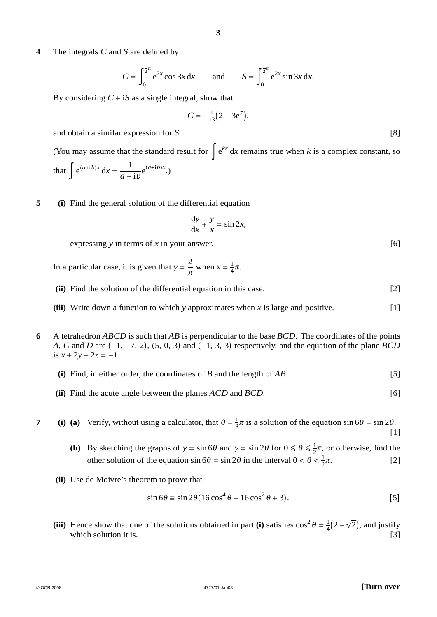**4** The integrals *C* and *S* are defined by

$$
C = \int_0^{\frac{1}{2}\pi} e^{2x} \cos 3x \, dx \quad \text{and} \quad S = \int_0^{\frac{1}{2}\pi} e^{2x} \sin 3x \, dx.
$$

By considering  $C + iS$  as a single integral, show that

$$
C = -\frac{1}{13}(2 + 3e^{\pi}),
$$

and obtain a similar expression for *S*. [8]

(You may assume that the standard result for  $\int e^{kx} dx$  remains true when *k* is a complex constant, so that  $\int e^{(a+ib)x} dx = \frac{1}{a+ib} e^{(a+ib)x}$ .)

**5 (i)** Find the general solution of the differential equation

$$
\frac{\mathrm{d}y}{\mathrm{d}x} + \frac{y}{x} = \sin 2x,
$$

expressing *y* in terms of *x* in your answer. [6]

In a particular case, it is given that  $y = \frac{2}{\pi}$  when  $x = \frac{1}{4}\pi$ .

- **(ii)** Find the solution of the differential equation in this case. [2]
- **(iii)** Write down a function to which *y* approximates when *x* is large and positive. [1]
- **6** A tetrahedron *ABCD* is such that *AB* is perpendicular to the base *BCD*. The coordinates of the points *A*, *C* and *D* are (−1, −7, 2), (5, 0, 3) and (−1, 3, 3) respectively, and the equation of the plane *BCD*  $is x + 2y - 2z = -1.$ 
	- **(i)** Find, in either order, the coordinates of *B* and the length of *AB*. [5]
	- **(ii)** Find the acute angle between the planes *ACD* and *BCD*. [6]

**7** (i) (a) Verify, without using a calculator, that  $\theta = \frac{1}{8}\pi$  is a solution of the equation sin  $6\theta = \sin 2\theta$ . [1]

- **(b)** By sketching the graphs of  $y = \sin 6\theta$  and  $y = \sin 2\theta$  for  $0 \le \theta \le \frac{1}{2}\pi$ , or otherwise, find the other solution of the equation  $\sin 6\theta = \sin 2\theta$  in the interval  $0 < \theta < \frac{1}{2}$  $\lceil 2 \rceil$
- **(ii)** Use de Moivre's theorem to prove that

$$
\sin 6\theta \equiv \sin 2\theta (16\cos^4 \theta - 16\cos^2 \theta + 3). \tag{5}
$$

**(iii)** Hence show that one of the solutions obtained in part **(i)** satisfies  $\cos^2 \theta = \frac{1}{4}(2 - \sqrt{2})$ , and justify which solution it is. [3]